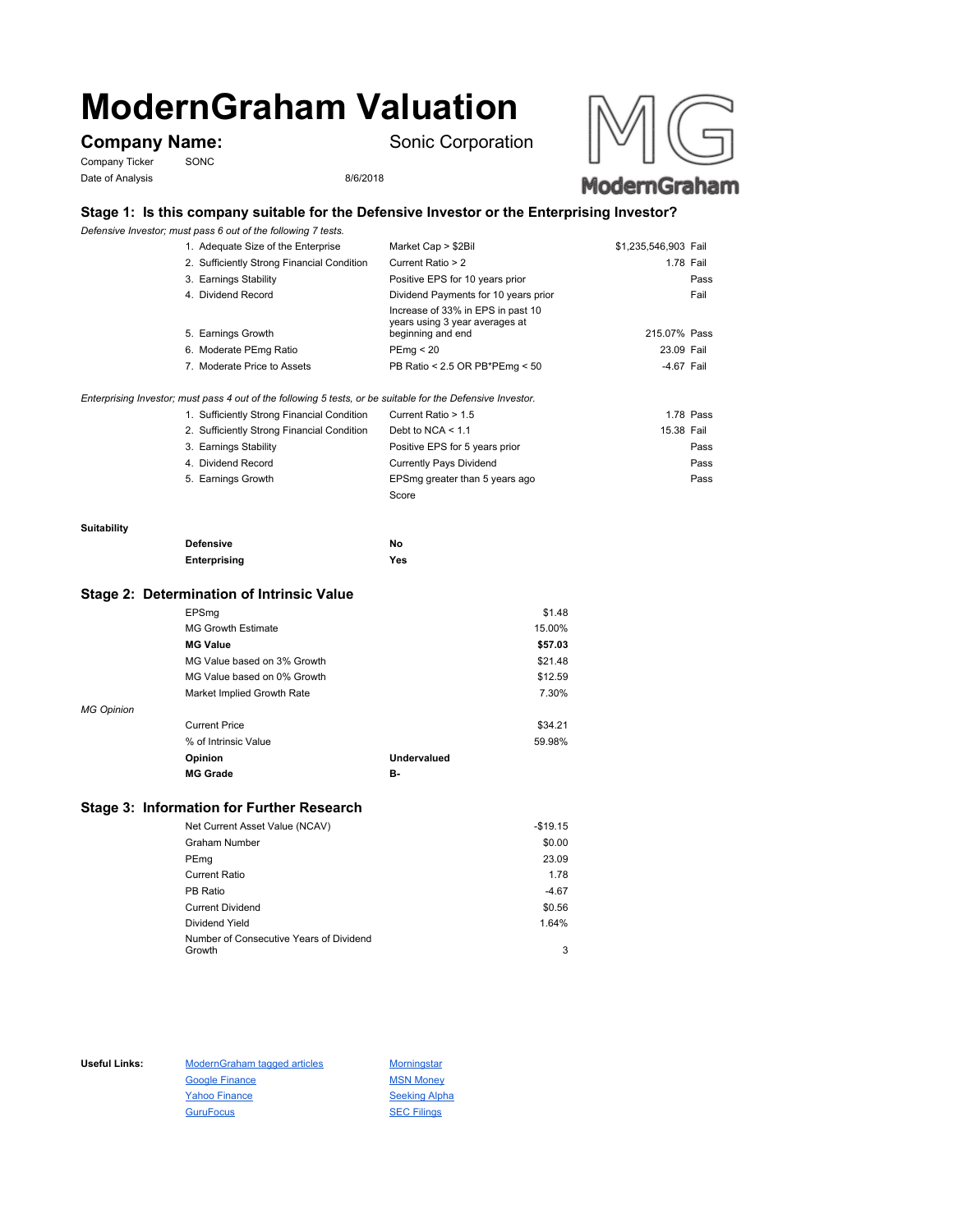# **ModernGraham Valuation**

Company Ticker SONC Date of Analysis 8/6/2018

**Company Name:** Sonic Corporation





# **Stage 1: Is this company suitable for the Defensive Investor or the Enterprising Investor?**

*Defensive Investor; must pass 6 out of the following 7 tests.*

| 1. Adequate Size of the Enterprise         | Market Cap > \$2Bil                                                                      | \$1,235,546,903 Fail |
|--------------------------------------------|------------------------------------------------------------------------------------------|----------------------|
| 2. Sufficiently Strong Financial Condition | Current Ratio > 2                                                                        | 1.78 Fail            |
| 3. Earnings Stability                      | Positive EPS for 10 years prior                                                          | Pass                 |
| 4. Dividend Record                         | Dividend Payments for 10 years prior                                                     | Fail                 |
| 5. Earnings Growth                         | Increase of 33% in EPS in past 10<br>years using 3 year averages at<br>beginning and end | 215.07% Pass         |
| 6. Moderate PEmg Ratio                     | PEmq < 20                                                                                | 23.09 Fail           |
| 7. Moderate Price to Assets                | PB Ratio < 2.5 OR PB*PEmg < 50                                                           | -4.67 Fail           |
|                                            |                                                                                          |                      |
|                                            |                                                                                          |                      |

### *Enterprising Investor; must pass 4 out of the following 5 tests, or be suitable for the Defensive Investor.*

| 1. Sufficiently Strong Financial Condition | Current Ratio > 1.5            | 1.78 Pass  |
|--------------------------------------------|--------------------------------|------------|
| 2. Sufficiently Strong Financial Condition | Debt to NCA $\leq 1.1$         | 15.38 Fail |
| 3. Earnings Stability                      | Positive EPS for 5 years prior | Pass       |
| 4. Dividend Record                         | <b>Currently Pays Dividend</b> | Pass       |
| 5. Earnings Growth                         | EPSmg greater than 5 years ago | Pass       |
|                                            | Score                          |            |

#### **Suitability**

| <b>Defensive</b> | No  |
|------------------|-----|
| Enterprising     | Yes |

## **Stage 2: Determination of Intrinsic Value**

|                   | EPSmg                       |             | \$1.48  |
|-------------------|-----------------------------|-------------|---------|
|                   | <b>MG Growth Estimate</b>   |             | 15.00%  |
|                   | <b>MG Value</b>             |             | \$57.03 |
|                   | MG Value based on 3% Growth |             | \$21.48 |
|                   | MG Value based on 0% Growth |             | \$12.59 |
|                   | Market Implied Growth Rate  |             | 7.30%   |
| <b>MG Opinion</b> |                             |             |         |
|                   | <b>Current Price</b>        |             | \$34.21 |
|                   | % of Intrinsic Value        |             | 59.98%  |
|                   | Opinion                     | Undervalued |         |
|                   | <b>MG Grade</b>             | в-          |         |
|                   |                             |             |         |

# **Stage 3: Information for Further Research**

| Net Current Asset Value (NCAV)          | $-$19.15$ |
|-----------------------------------------|-----------|
| Graham Number                           | \$0.00    |
| PEmg                                    | 23.09     |
| Current Ratio                           | 1.78      |
| PB Ratio                                | $-4.67$   |
| <b>Current Dividend</b>                 | \$0.56    |
| Dividend Yield                          | 1.64%     |
| Number of Consecutive Years of Dividend |           |
| Growth                                  | 3         |

Useful Links: ModernGraham tagged articles Morningstar Google Finance MSN Money Yahoo Finance Seeking Alpha GuruFocus SEC Filings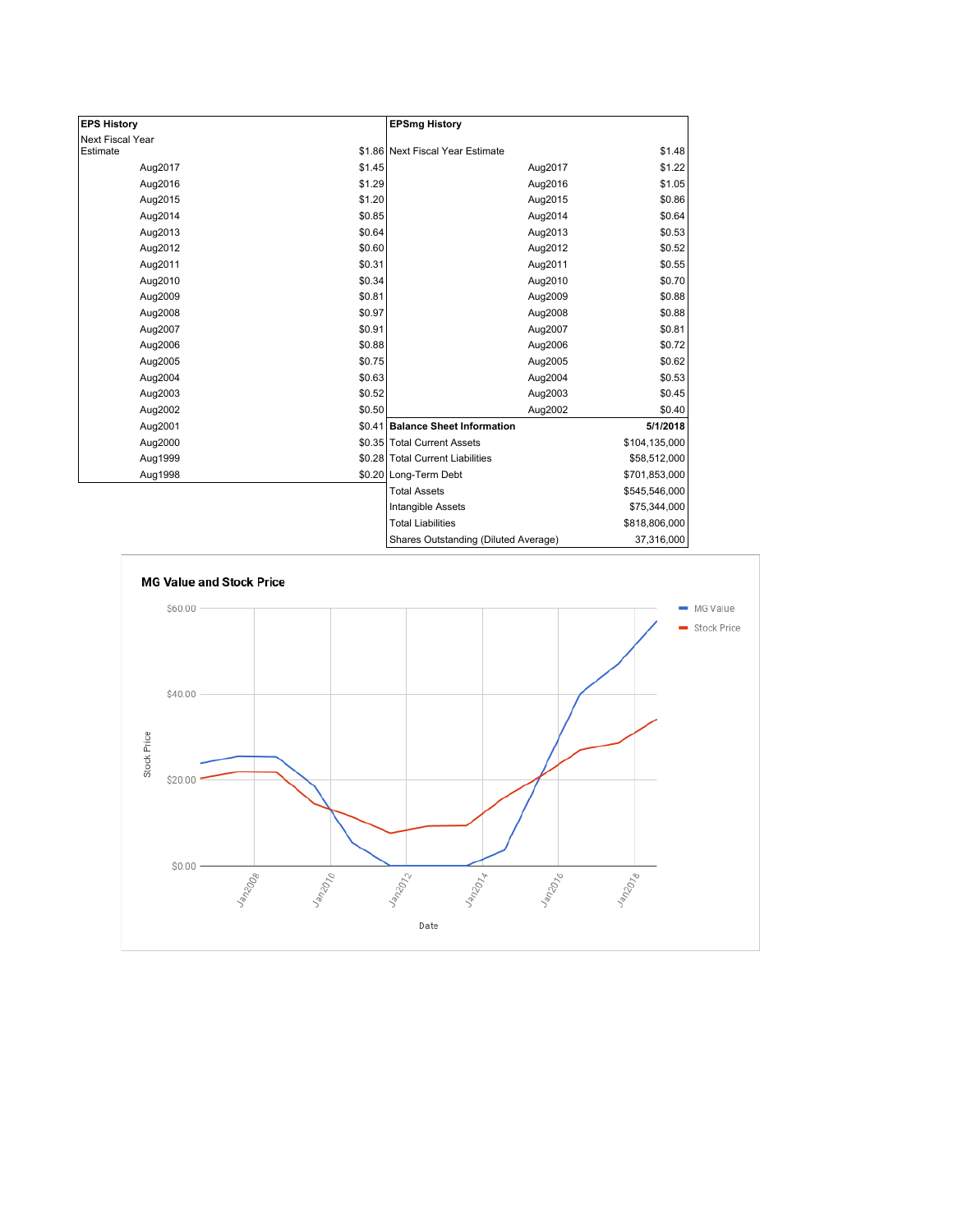| <b>EPS History</b> |        | <b>EPSmg History</b>                 |               |
|--------------------|--------|--------------------------------------|---------------|
| Next Fiscal Year   |        |                                      |               |
| Estimate           |        | \$1.86 Next Fiscal Year Estimate     | \$1.48        |
| Aug2017            | \$1.45 | Aug2017                              | \$1.22        |
| Aug2016            | \$1.29 | Aug2016                              | \$1.05        |
| Aug2015            | \$1.20 | Aug2015                              | \$0.86        |
| Aug2014            | \$0.85 | Aug2014                              | \$0.64        |
| Aug2013            | \$0.64 | Aug2013                              | \$0.53        |
| Aug2012            | \$0.60 | Aug2012                              | \$0.52        |
| Aug2011            | \$0.31 | Aug2011                              | \$0.55        |
| Aug2010            | \$0.34 | Aug2010                              | \$0.70        |
| Aug2009            | \$0.81 | Aug2009                              | \$0.88        |
| Aug2008            | \$0.97 | Aug2008                              | \$0.88        |
| Aug2007            | \$0.91 | Aug2007                              | \$0.81        |
| Aug2006            | \$0.88 | Aug2006                              | \$0.72        |
| Aug2005            | \$0.75 | Aug2005                              | \$0.62        |
| Aug2004            | \$0.63 | Aug2004                              | \$0.53        |
| Aug2003            | \$0.52 | Aug2003                              | \$0.45        |
| Aug2002            | \$0.50 | Aug2002                              | \$0.40        |
| Aug2001            |        | \$0.41 Balance Sheet Information     | 5/1/2018      |
| Aug2000            |        | \$0.35 Total Current Assets          | \$104,135,000 |
| Aug1999            |        | \$0.28 Total Current Liabilities     | \$58,512,000  |
| Aug1998            |        | \$0.20 Long-Term Debt                | \$701,853,000 |
|                    |        | <b>Total Assets</b>                  | \$545,546,000 |
|                    |        | Intangible Assets                    | \$75,344,000  |
|                    |        | <b>Total Liabilities</b>             | \$818,806,000 |
|                    |        | Shares Outstanding (Diluted Average) | 37,316,000    |